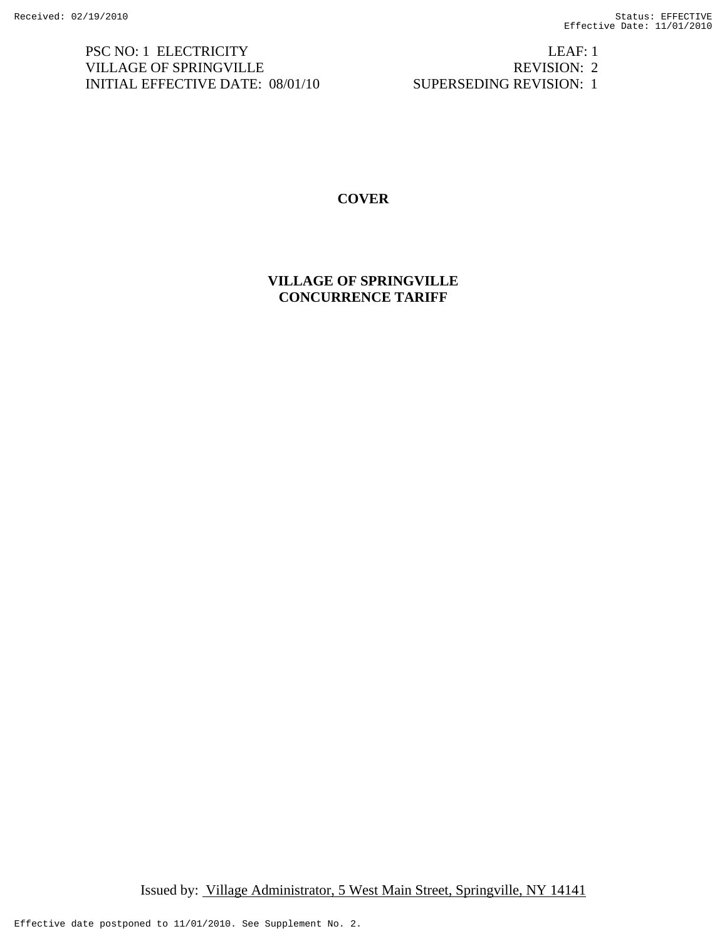PSC NO: 1 ELECTRICITY LEAF: 1 VILLAGE OF SPRINGVILLE REVISION: 2 INITIAL EFFECTIVE DATE: 08/01/10 SUPERSEDING REVISION: 1

# **COVER**

**VILLAGE OF SPRINGVILLE CONCURRENCE TARIFF**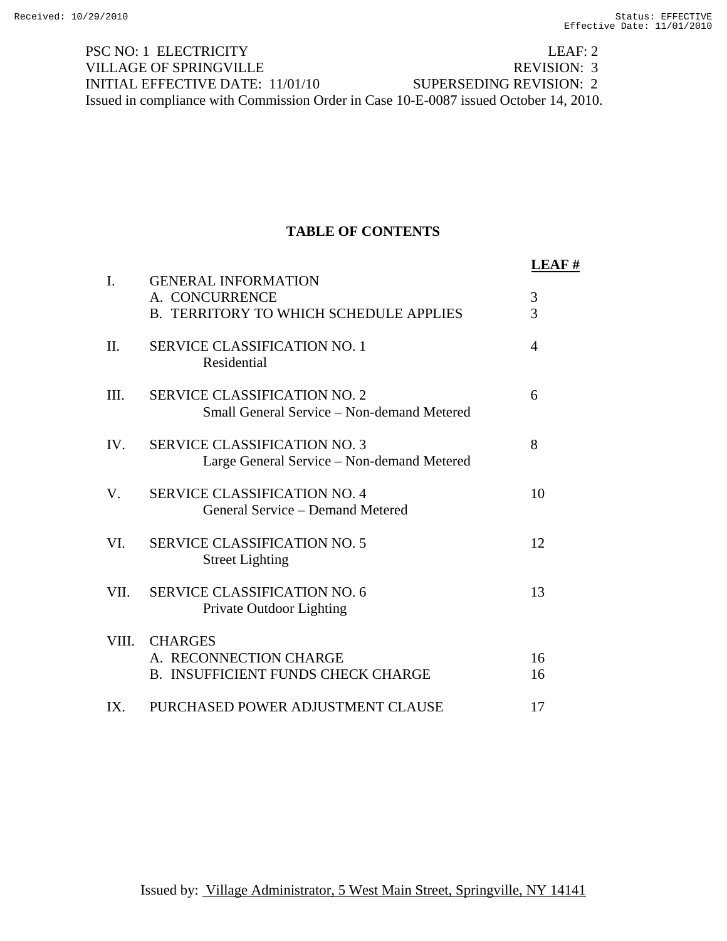PSC NO: 1 ELECTRICITY LEAF: 2 VILLAGE OF SPRINGVILLE REVISION: 3 INITIAL EFFECTIVE DATE: 11/01/10 SUPERSEDING REVISION: 2 Issued in compliance with Commission Order in Case 10-E-0087 issued October 14, 2010.

# **TABLE OF CONTENTS**

|       |                                                                                          | LEAF#                            |
|-------|------------------------------------------------------------------------------------------|----------------------------------|
| I.    | <b>GENERAL INFORMATION</b><br>A. CONCURRENCE<br>B. TERRITORY TO WHICH SCHEDULE APPLIES   | $\mathfrak{Z}$<br>$\overline{3}$ |
| II.   | <b>SERVICE CLASSIFICATION NO. 1</b><br>Residential                                       | $\overline{4}$                   |
| III.  | <b>SERVICE CLASSIFICATION NO. 2</b><br><b>Small General Service – Non-demand Metered</b> | 6                                |
| IV.   | <b>SERVICE CLASSIFICATION NO. 3</b><br>Large General Service – Non-demand Metered        | 8                                |
| V.    | <b>SERVICE CLASSIFICATION NO. 4</b><br>General Service – Demand Metered                  | 10                               |
| VI.   | <b>SERVICE CLASSIFICATION NO. 5</b><br><b>Street Lighting</b>                            | 12                               |
| VII.  | <b>SERVICE CLASSIFICATION NO. 6</b><br>Private Outdoor Lighting                          | 13                               |
| VIII. | <b>CHARGES</b><br>A. RECONNECTION CHARGE<br><b>B. INSUFFICIENT FUNDS CHECK CHARGE</b>    | 16<br>16                         |
| IX.   | PURCHASED POWER ADJUSTMENT CLAUSE                                                        | 17                               |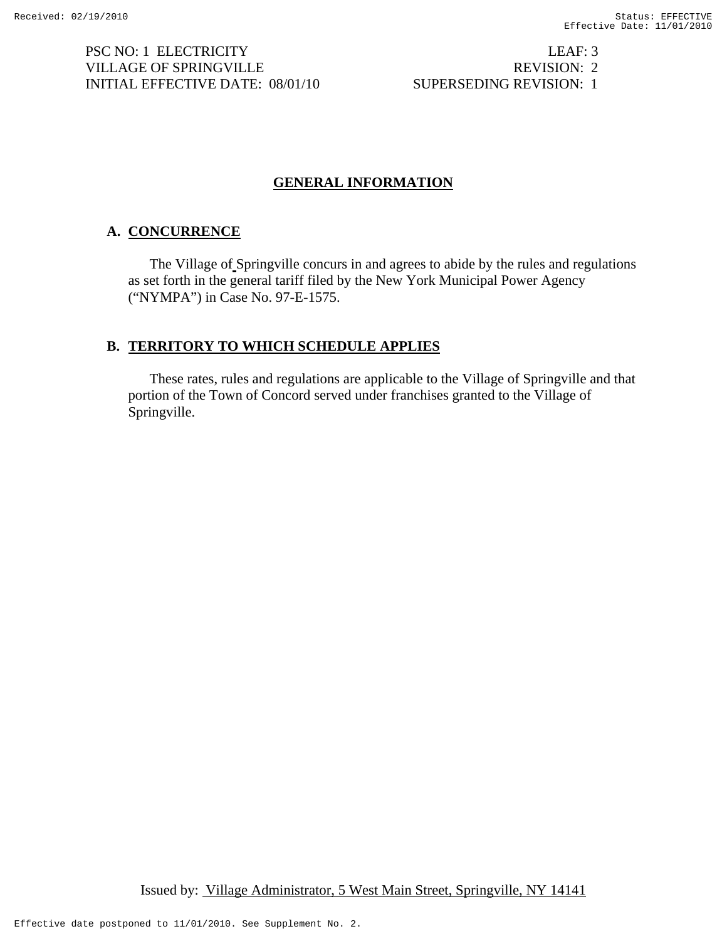PSC NO: 1 ELECTRICITY LEAF: 3 VILLAGE OF SPRINGVILLE REVISION: 2 INITIAL EFFECTIVE DATE: 08/01/10 SUPERSEDING REVISION: 1

# **GENERAL INFORMATION**

# **A. CONCURRENCE**

The Village of Springville concurs in and agrees to abide by the rules and regulations as set forth in the general tariff filed by the New York Municipal Power Agency ("NYMPA") in Case No. 97-E-1575.

# **B. TERRITORY TO WHICH SCHEDULE APPLIES**

These rates, rules and regulations are applicable to the Village of Springville and that portion of the Town of Concord served under franchises granted to the Village of Springville.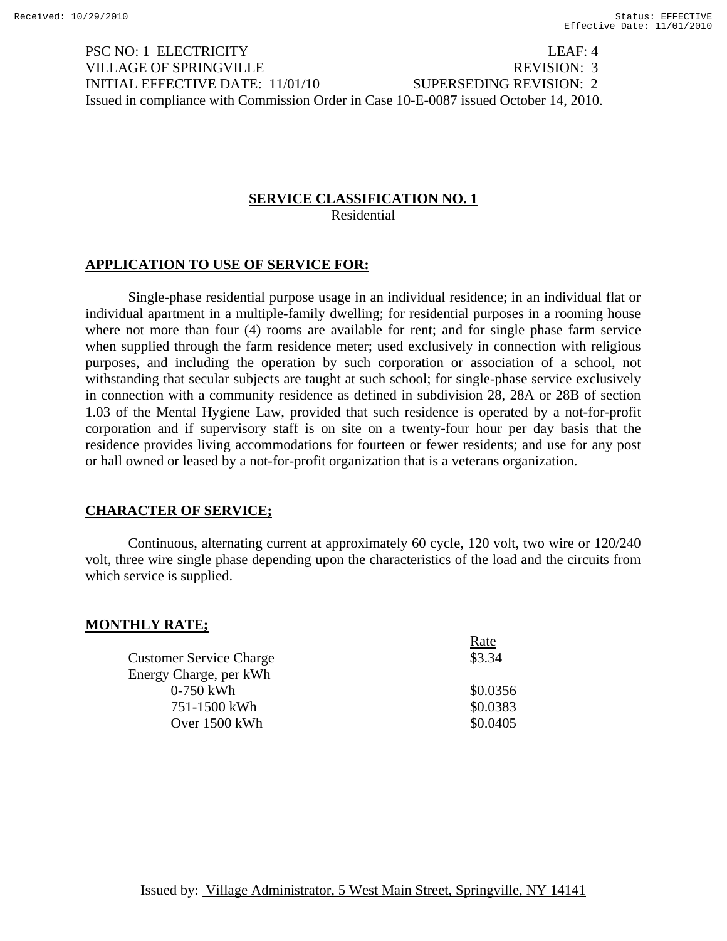PSC NO: 1 ELECTRICITY LEAF: 4 VILLAGE OF SPRINGVILLE AND REVISION: 3 INITIAL EFFECTIVE DATE: 11/01/10 SUPERSEDING REVISION: 2 Issued in compliance with Commission Order in Case 10-E-0087 issued October 14, 2010.

# **SERVICE CLASSIFICATION NO. 1**

Residential

# **APPLICATION TO USE OF SERVICE FOR:**

 Single-phase residential purpose usage in an individual residence; in an individual flat or individual apartment in a multiple-family dwelling; for residential purposes in a rooming house where not more than four (4) rooms are available for rent; and for single phase farm service when supplied through the farm residence meter; used exclusively in connection with religious purposes, and including the operation by such corporation or association of a school, not withstanding that secular subjects are taught at such school; for single-phase service exclusively in connection with a community residence as defined in subdivision 28, 28A or 28B of section 1.03 of the Mental Hygiene Law, provided that such residence is operated by a not-for-profit corporation and if supervisory staff is on site on a twenty-four hour per day basis that the residence provides living accommodations for fourteen or fewer residents; and use for any post or hall owned or leased by a not-for-profit organization that is a veterans organization.

## **CHARACTER OF SERVICE;**

 Continuous, alternating current at approximately 60 cycle, 120 volt, two wire or 120/240 volt, three wire single phase depending upon the characteristics of the load and the circuits from which service is supplied.

| <b>MONTHLY RATE;</b>           |          |
|--------------------------------|----------|
|                                | Rate     |
| <b>Customer Service Charge</b> | \$3.34   |
| Energy Charge, per kWh         |          |
| $0-750$ kWh                    | \$0.0356 |
| 751-1500 kWh                   | \$0.0383 |
| Over 1500 kWh                  | \$0.0405 |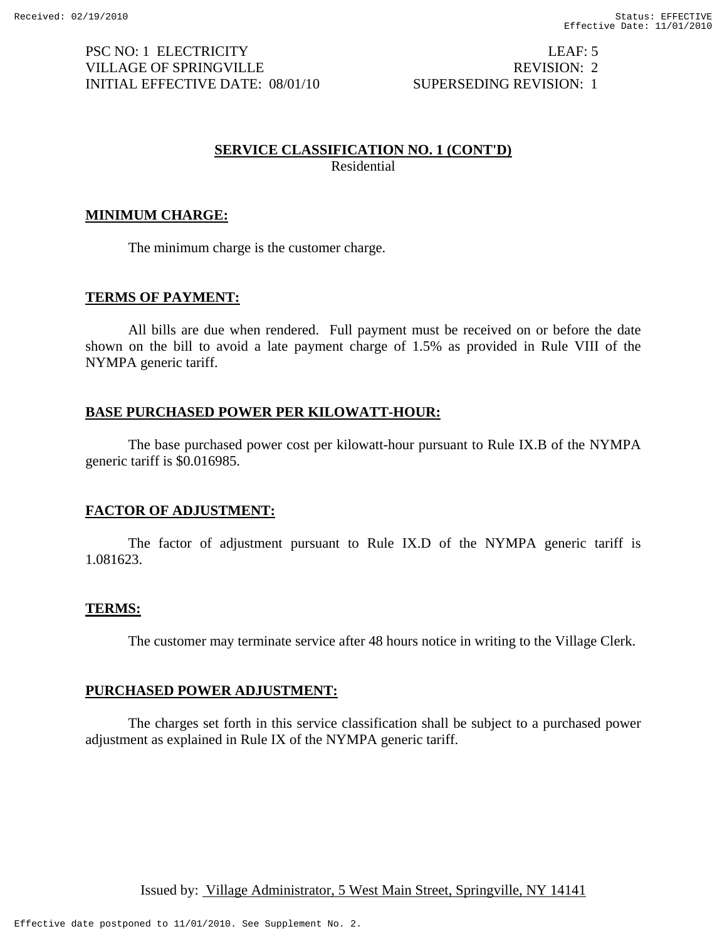PSC NO: 1 ELECTRICITY LEAF: 5 VILLAGE OF SPRINGVILLE REVISION: 2 INITIAL EFFECTIVE DATE: 08/01/10 SUPERSEDING REVISION: 1

#### **SERVICE CLASSIFICATION NO. 1 (CONT'D)**

Residential

#### **MINIMUM CHARGE:**

The minimum charge is the customer charge.

#### **TERMS OF PAYMENT:**

 All bills are due when rendered. Full payment must be received on or before the date shown on the bill to avoid a late payment charge of 1.5% as provided in Rule VIII of the NYMPA generic tariff.

#### **BASE PURCHASED POWER PER KILOWATT-HOUR:**

 The base purchased power cost per kilowatt-hour pursuant to Rule IX.B of the NYMPA generic tariff is \$0.016985.

#### **FACTOR OF ADJUSTMENT:**

 The factor of adjustment pursuant to Rule IX.D of the NYMPA generic tariff is 1.081623.

#### **TERMS:**

The customer may terminate service after 48 hours notice in writing to the Village Clerk.

#### **PURCHASED POWER ADJUSTMENT:**

 The charges set forth in this service classification shall be subject to a purchased power adjustment as explained in Rule IX of the NYMPA generic tariff.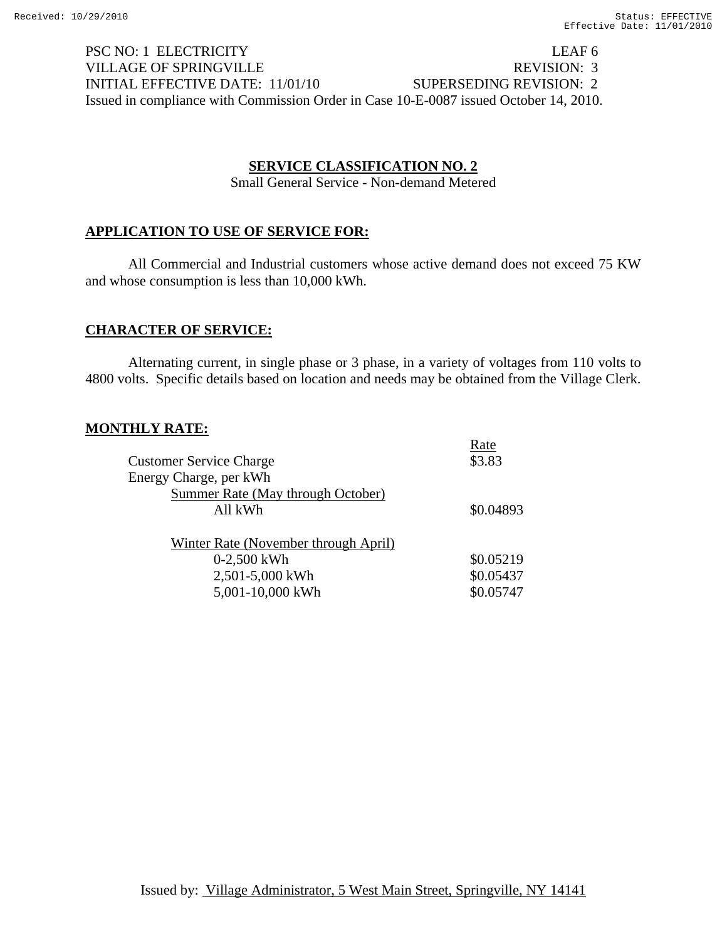PSC NO: 1 ELECTRICITY LEAF 6 VILLAGE OF SPRINGVILLE REVISION: 3 INITIAL EFFECTIVE DATE: 11/01/10 SUPERSEDING REVISION: 2 Issued in compliance with Commission Order in Case 10-E-0087 issued October 14, 2010.

# **SERVICE CLASSIFICATION NO. 2**

Small General Service - Non-demand Metered

# **APPLICATION TO USE OF SERVICE FOR:**

All Commercial and Industrial customers whose active demand does not exceed 75 KW and whose consumption is less than 10,000 kWh.

## **CHARACTER OF SERVICE:**

Alternating current, in single phase or 3 phase, in a variety of voltages from 110 volts to 4800 volts. Specific details based on location and needs may be obtained from the Village Clerk.

## **MONTHLY RATE:**

|                                      | Rate      |
|--------------------------------------|-----------|
| <b>Customer Service Charge</b>       | \$3.83    |
| Energy Charge, per kWh               |           |
| Summer Rate (May through October)    |           |
| All kWh                              | \$0.04893 |
|                                      |           |
| Winter Rate (November through April) |           |
| $0-2,500$ kWh                        | \$0.05219 |
| 2,501-5,000 kWh                      | \$0.05437 |
| 5,001-10,000 kWh                     | \$0.05747 |
|                                      |           |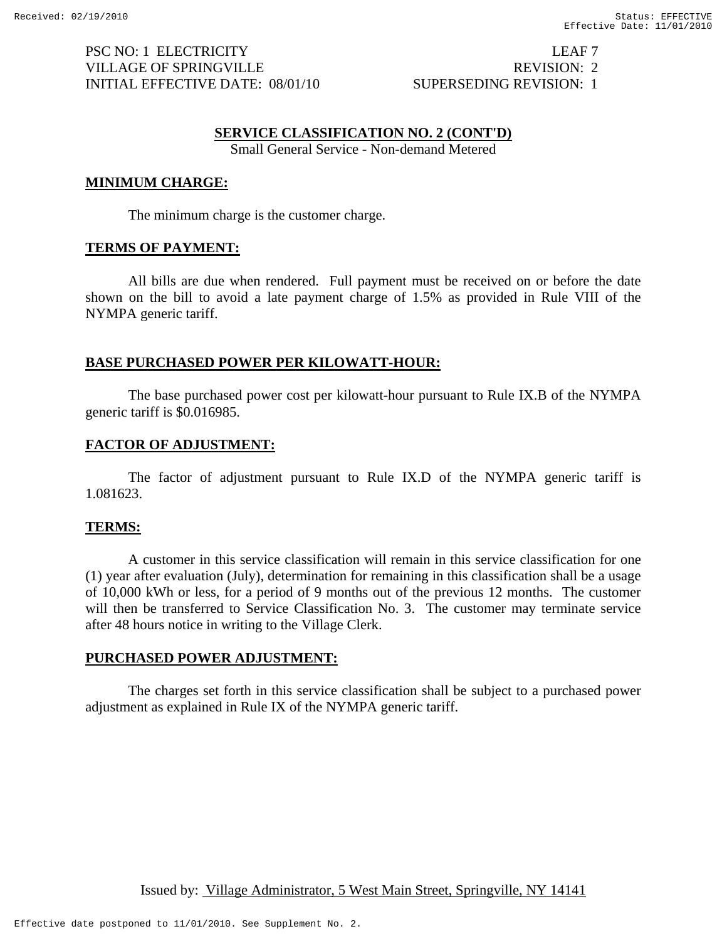PSC NO: 1 ELECTRICITY LEAF 7 VILLAGE OF SPRINGVILLE REVISION: 2 INITIAL EFFECTIVE DATE: 08/01/10 SUPERSEDING REVISION: 1

#### **SERVICE CLASSIFICATION NO. 2 (CONT'D)**

Small General Service - Non-demand Metered

#### **MINIMUM CHARGE:**

The minimum charge is the customer charge.

#### **TERMS OF PAYMENT:**

All bills are due when rendered. Full payment must be received on or before the date shown on the bill to avoid a late payment charge of 1.5% as provided in Rule VIII of the NYMPA generic tariff.

#### **BASE PURCHASED POWER PER KILOWATT-HOUR:**

 The base purchased power cost per kilowatt-hour pursuant to Rule IX.B of the NYMPA generic tariff is \$0.016985.

#### **FACTOR OF ADJUSTMENT:**

 The factor of adjustment pursuant to Rule IX.D of the NYMPA generic tariff is 1.081623.

#### **TERMS:**

A customer in this service classification will remain in this service classification for one (1) year after evaluation (July), determination for remaining in this classification shall be a usage of 10,000 kWh or less, for a period of 9 months out of the previous 12 months. The customer will then be transferred to Service Classification No. 3. The customer may terminate service after 48 hours notice in writing to the Village Clerk.

#### **PURCHASED POWER ADJUSTMENT:**

The charges set forth in this service classification shall be subject to a purchased power adjustment as explained in Rule IX of the NYMPA generic tariff.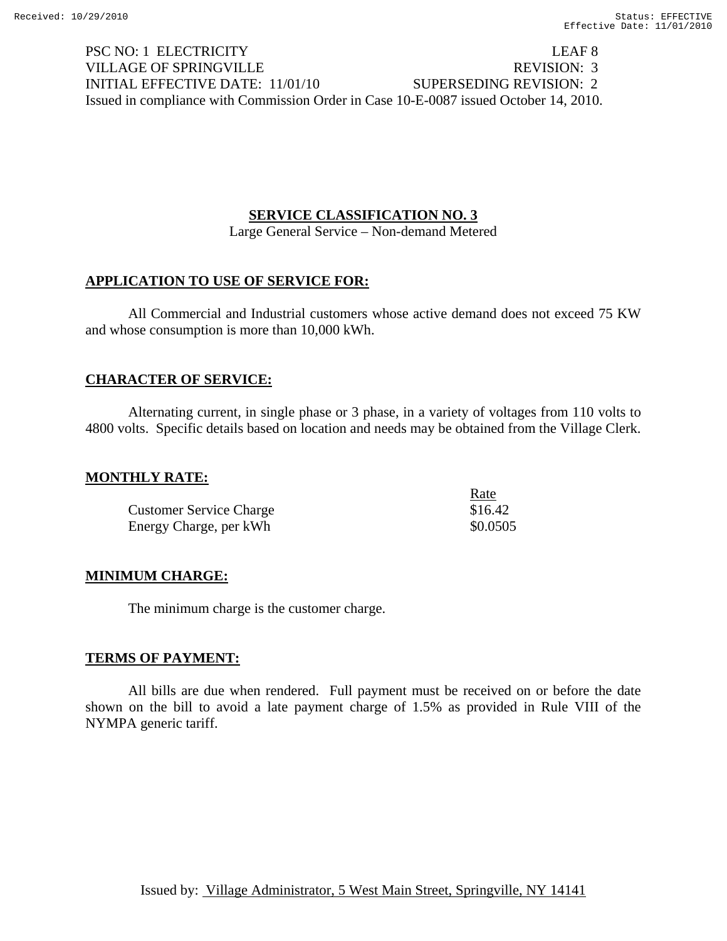PSC NO: 1 ELECTRICITY LEAF 8 VILLAGE OF SPRINGVILLE THE REVISION: 3 INITIAL EFFECTIVE DATE: 11/01/10 SUPERSEDING REVISION: 2 Issued in compliance with Commission Order in Case 10-E-0087 issued October 14, 2010.

## **SERVICE CLASSIFICATION NO. 3**

Large General Service – Non-demand Metered

#### **APPLICATION TO USE OF SERVICE FOR:**

All Commercial and Industrial customers whose active demand does not exceed 75 KW and whose consumption is more than 10,000 kWh.

#### **CHARACTER OF SERVICE:**

Alternating current, in single phase or 3 phase, in a variety of voltages from 110 volts to 4800 volts. Specific details based on location and needs may be obtained from the Village Clerk.

#### **MONTHLY RATE:**

|                                | <u>Rate</u> |
|--------------------------------|-------------|
| <b>Customer Service Charge</b> | \$16.42     |
| Energy Charge, per kWh         | \$0.0505    |

## **MINIMUM CHARGE:**

The minimum charge is the customer charge.

## **TERMS OF PAYMENT:**

 All bills are due when rendered. Full payment must be received on or before the date shown on the bill to avoid a late payment charge of 1.5% as provided in Rule VIII of the NYMPA generic tariff.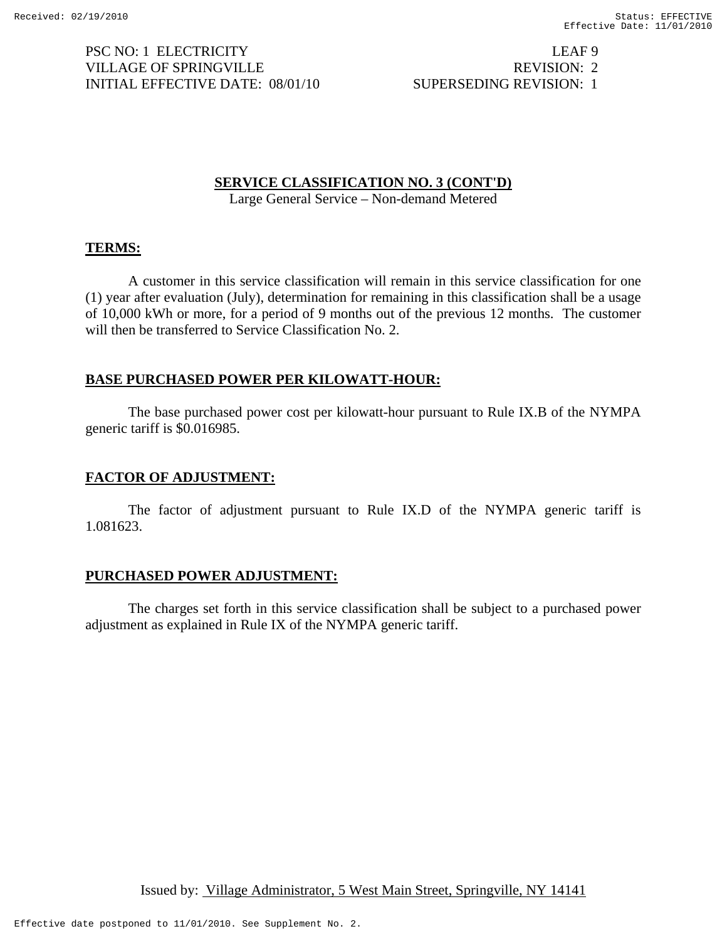PSC NO: 1 ELECTRICITY LEAF 9 VILLAGE OF SPRINGVILLE REVISION: 2 INITIAL EFFECTIVE DATE: 08/01/10 SUPERSEDING REVISION: 1

**SERVICE CLASSIFICATION NO. 3 (CONT'D)**

Large General Service – Non-demand Metered

#### **TERMS:**

A customer in this service classification will remain in this service classification for one (1) year after evaluation (July), determination for remaining in this classification shall be a usage of 10,000 kWh or more, for a period of 9 months out of the previous 12 months. The customer will then be transferred to Service Classification No. 2.

## **BASE PURCHASED POWER PER KILOWATT-HOUR:**

 The base purchased power cost per kilowatt-hour pursuant to Rule IX.B of the NYMPA generic tariff is \$0.016985.

## **FACTOR OF ADJUSTMENT:**

 The factor of adjustment pursuant to Rule IX.D of the NYMPA generic tariff is 1.081623.

#### **PURCHASED POWER ADJUSTMENT:**

 The charges set forth in this service classification shall be subject to a purchased power adjustment as explained in Rule IX of the NYMPA generic tariff.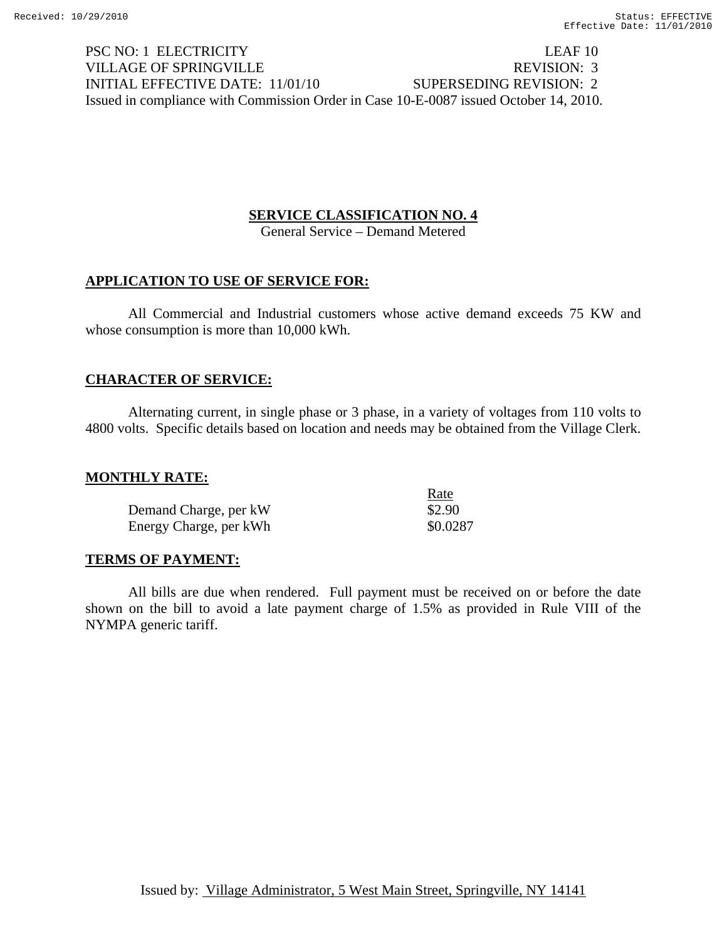PSC NO: 1 ELECTRICITY LEAF 10 VILLAGE OF SPRINGVILLE REVISION: 3 INITIAL EFFECTIVE DATE: 11/01/10 SUPERSEDING REVISION: 2 Issued in compliance with Commission Order in Case 10-E-0087 issued October 14, 2010.

## **SERVICE CLASSIFICATION NO. 4**

General Service – Demand Metered

## **APPLICATION TO USE OF SERVICE FOR:**

All Commercial and Industrial customers whose active demand exceeds 75 KW and whose consumption is more than 10,000 kWh.

#### **CHARACTER OF SERVICE:**

Alternating current, in single phase or 3 phase, in a variety of voltages from 110 volts to 4800 volts. Specific details based on location and needs may be obtained from the Village Clerk.

#### **MONTHLY RATE:**

|                        | Rate     |
|------------------------|----------|
| Demand Charge, per kW  | \$2.90   |
| Energy Charge, per kWh | \$0.0287 |

## **TERMS OF PAYMENT:**

 All bills are due when rendered. Full payment must be received on or before the date shown on the bill to avoid a late payment charge of 1.5% as provided in Rule VIII of the NYMPA generic tariff.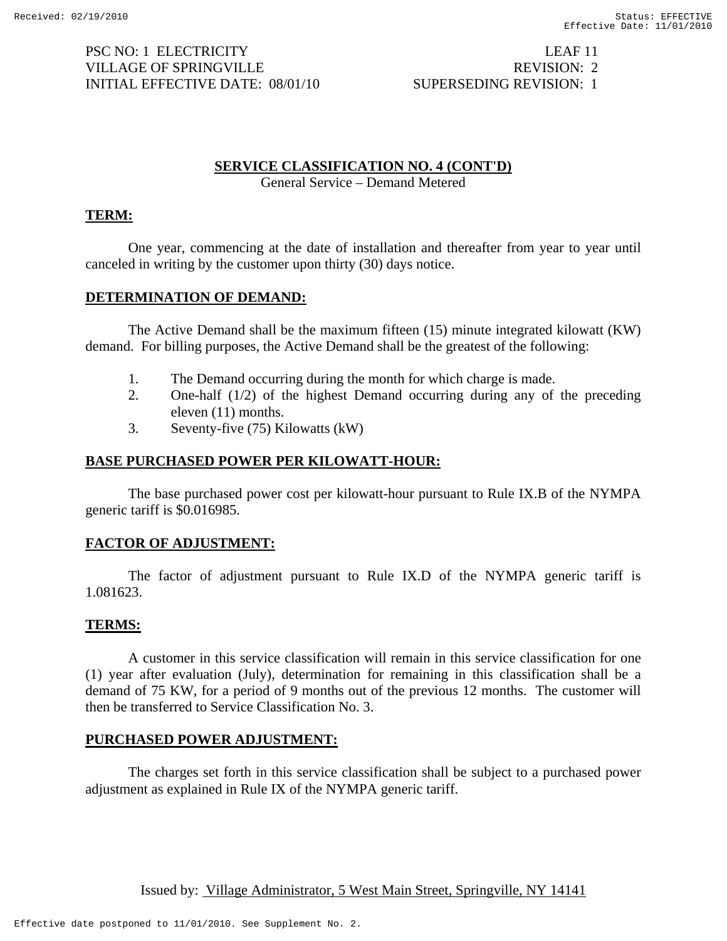PSC NO: 1 ELECTRICITY LEAF 11 VILLAGE OF SPRINGVILLE **REVISION:** 2 INITIAL EFFECTIVE DATE: 08/01/10 SUPERSEDING REVISION: 1

# **SERVICE CLASSIFICATION NO. 4 (CONT'D)**

General Service – Demand Metered

# **TERM:**

 One year, commencing at the date of installation and thereafter from year to year until canceled in writing by the customer upon thirty (30) days notice.

## **DETERMINATION OF DEMAND:**

 The Active Demand shall be the maximum fifteen (15) minute integrated kilowatt (KW) demand. For billing purposes, the Active Demand shall be the greatest of the following:

- 1. The Demand occurring during the month for which charge is made.
- 2. One-half (1/2) of the highest Demand occurring during any of the preceding eleven (11) months.
- 3. Seventy-five (75) Kilowatts (kW)

## **BASE PURCHASED POWER PER KILOWATT-HOUR:**

 The base purchased power cost per kilowatt-hour pursuant to Rule IX.B of the NYMPA generic tariff is \$0.016985.

## **FACTOR OF ADJUSTMENT:**

 The factor of adjustment pursuant to Rule IX.D of the NYMPA generic tariff is 1.081623.

#### **TERMS:**

A customer in this service classification will remain in this service classification for one (1) year after evaluation (July), determination for remaining in this classification shall be a demand of 75 KW, for a period of 9 months out of the previous 12 months. The customer will then be transferred to Service Classification No. 3.

## **PURCHASED POWER ADJUSTMENT:**

 The charges set forth in this service classification shall be subject to a purchased power adjustment as explained in Rule IX of the NYMPA generic tariff.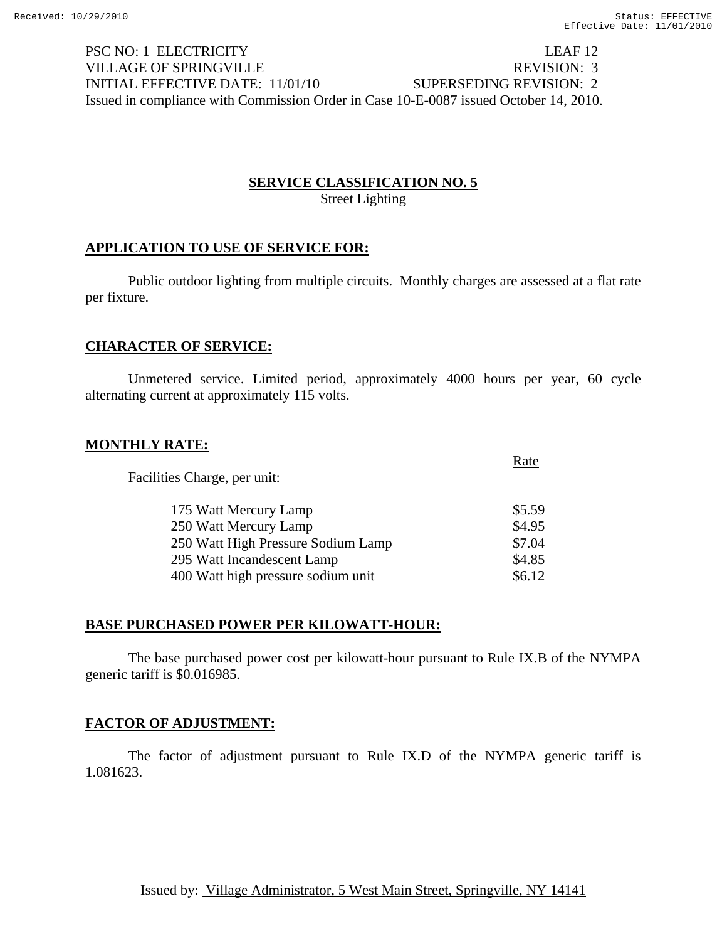PSC NO: 1 ELECTRICITY LEAF 12 VILLAGE OF SPRINGVILLE REVISION: 3 INITIAL EFFECTIVE DATE: 11/01/10 SUPERSEDING REVISION: 2 Issued in compliance with Commission Order in Case 10-E-0087 issued October 14, 2010.

# **SERVICE CLASSIFICATION NO. 5** Street Lighting

# **APPLICATION TO USE OF SERVICE FOR:**

 Public outdoor lighting from multiple circuits. Monthly charges are assessed at a flat rate per fixture.

# **CHARACTER OF SERVICE:**

 Unmetered service. Limited period, approximately 4000 hours per year, 60 cycle alternating current at approximately 115 volts.

## **MONTHLY RATE:**

| Rate     |
|----------|
| \$5.59   |
| \$4.95   |
| \$7.04   |
| \$4.85   |
| \$6.12\$ |
|          |

#### **BASE PURCHASED POWER PER KILOWATT-HOUR:**

 The base purchased power cost per kilowatt-hour pursuant to Rule IX.B of the NYMPA generic tariff is \$0.016985.

## **FACTOR OF ADJUSTMENT:**

 The factor of adjustment pursuant to Rule IX.D of the NYMPA generic tariff is 1.081623.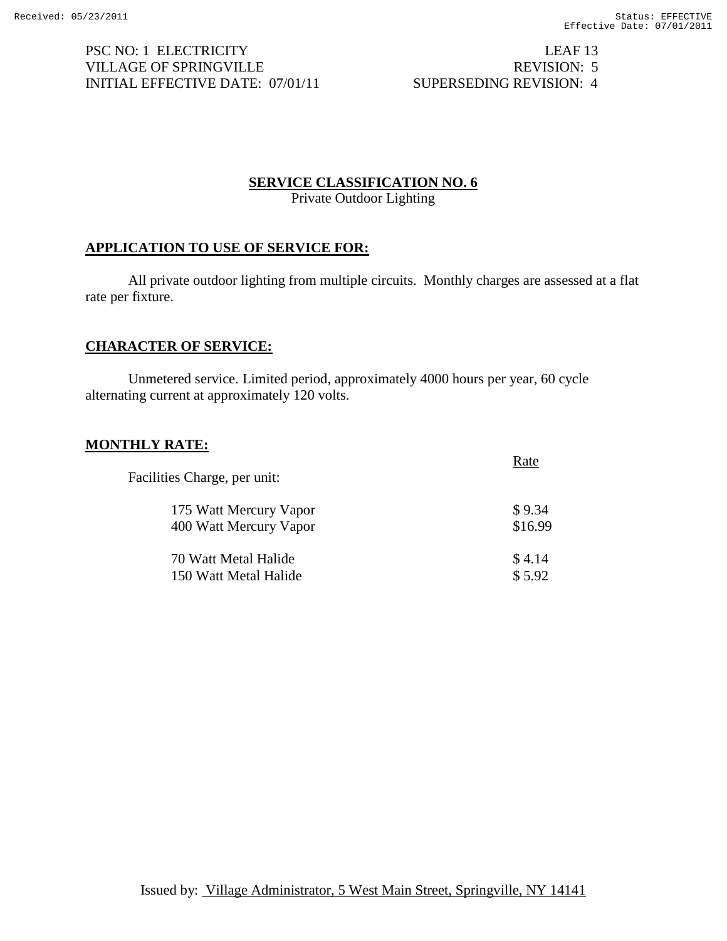PSC NO: 1 ELECTRICITY LEAF 13 VILLAGE OF SPRINGVILLE REVISION: 5 INITIAL EFFECTIVE DATE: 07/01/11 SUPERSEDING REVISION: 4

#### **SERVICE CLASSIFICATION NO. 6**

Private Outdoor Lighting

#### **APPLICATION TO USE OF SERVICE FOR:**

All private outdoor lighting from multiple circuits. Monthly charges are assessed at a flat rate per fixture.

## **CHARACTER OF SERVICE:**

Unmetered service. Limited period, approximately 4000 hours per year, 60 cycle alternating current at approximately 120 volts.

#### **MONTHLY RATE:**

| Facilities Charge, per unit: |         |
|------------------------------|---------|
| 175 Watt Mercury Vapor       | \$9.34  |
| 400 Watt Mercury Vapor       | \$16.99 |
| 70 Watt Metal Halide         | \$4.14  |
| 150 Watt Metal Halide        | \$5.92  |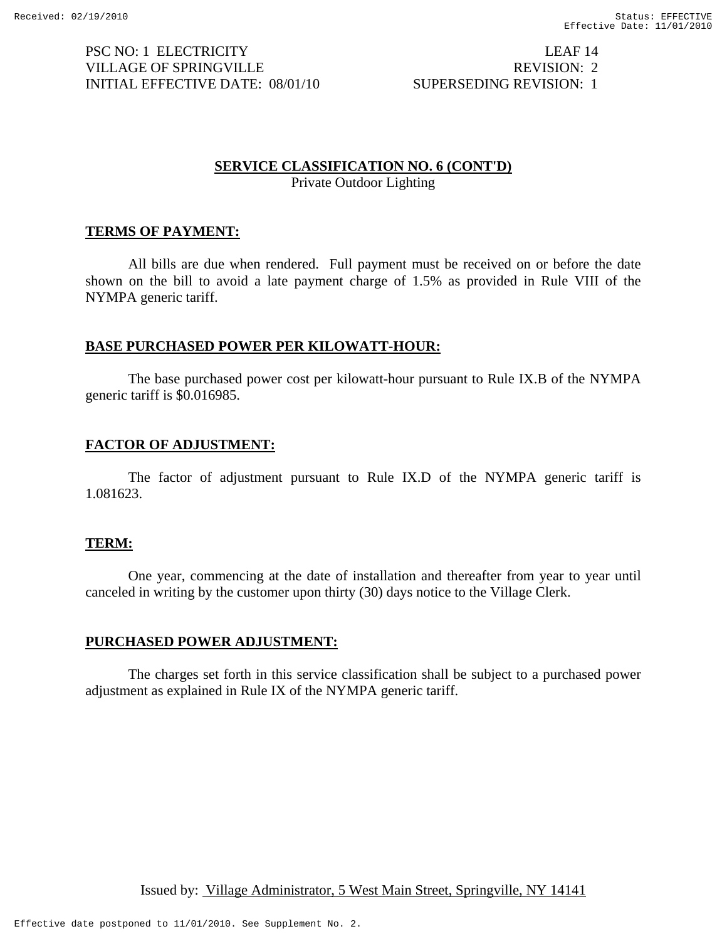PSC NO: 1 ELECTRICITY LEAF 14 VILLAGE OF SPRINGVILLE REVISION: 2 INITIAL EFFECTIVE DATE: 08/01/10 SUPERSEDING REVISION: 1

# **SERVICE CLASSIFICATION NO. 6 (CONT'D)**

Private Outdoor Lighting

# **TERMS OF PAYMENT:**

All bills are due when rendered. Full payment must be received on or before the date shown on the bill to avoid a late payment charge of 1.5% as provided in Rule VIII of the NYMPA generic tariff.

# **BASE PURCHASED POWER PER KILOWATT-HOUR:**

 The base purchased power cost per kilowatt-hour pursuant to Rule IX.B of the NYMPA generic tariff is \$0.016985.

# **FACTOR OF ADJUSTMENT:**

 The factor of adjustment pursuant to Rule IX.D of the NYMPA generic tariff is 1.081623.

## **TERM:**

 One year, commencing at the date of installation and thereafter from year to year until canceled in writing by the customer upon thirty (30) days notice to the Village Clerk.

# **PURCHASED POWER ADJUSTMENT:**

 The charges set forth in this service classification shall be subject to a purchased power adjustment as explained in Rule IX of the NYMPA generic tariff.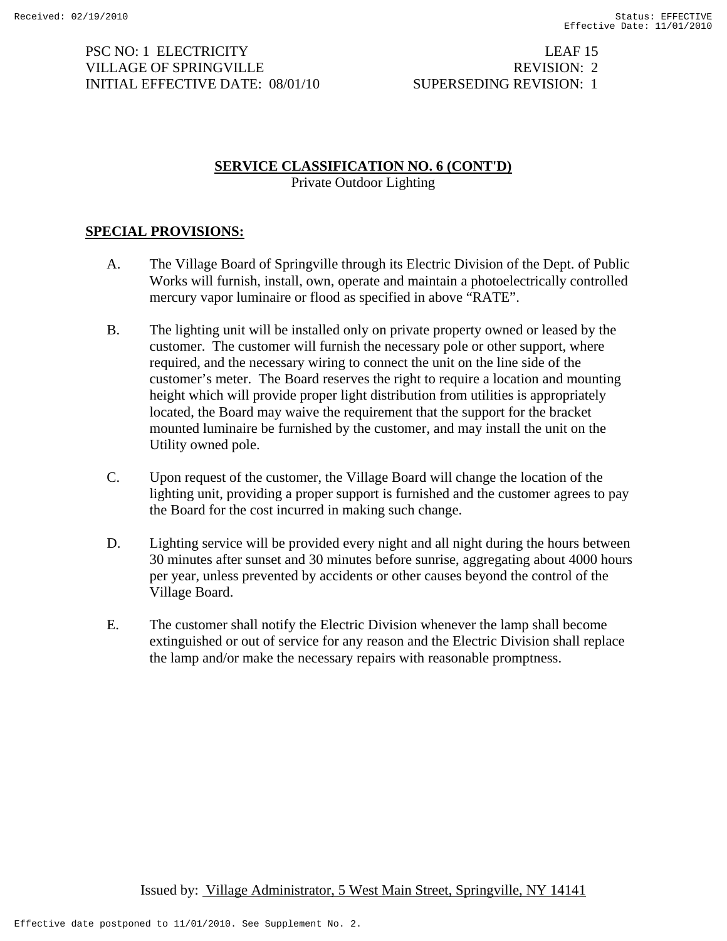PSC NO: 1 ELECTRICITY LEAF 15 VILLAGE OF SPRINGVILLE REVISION: 2 INITIAL EFFECTIVE DATE: 08/01/10 SUPERSEDING REVISION: 1

## **SERVICE CLASSIFICATION NO. 6 (CONT'D)** Private Outdoor Lighting

# **SPECIAL PROVISIONS:**

- A. The Village Board of Springville through its Electric Division of the Dept. of Public Works will furnish, install, own, operate and maintain a photoelectrically controlled mercury vapor luminaire or flood as specified in above "RATE".
- B. The lighting unit will be installed only on private property owned or leased by the customer. The customer will furnish the necessary pole or other support, where required, and the necessary wiring to connect the unit on the line side of the customer's meter. The Board reserves the right to require a location and mounting height which will provide proper light distribution from utilities is appropriately located, the Board may waive the requirement that the support for the bracket mounted luminaire be furnished by the customer, and may install the unit on the Utility owned pole.
- C. Upon request of the customer, the Village Board will change the location of the lighting unit, providing a proper support is furnished and the customer agrees to pay the Board for the cost incurred in making such change.
- D. Lighting service will be provided every night and all night during the hours between 30 minutes after sunset and 30 minutes before sunrise, aggregating about 4000 hours per year, unless prevented by accidents or other causes beyond the control of the Village Board.
- E. The customer shall notify the Electric Division whenever the lamp shall become extinguished or out of service for any reason and the Electric Division shall replace the lamp and/or make the necessary repairs with reasonable promptness.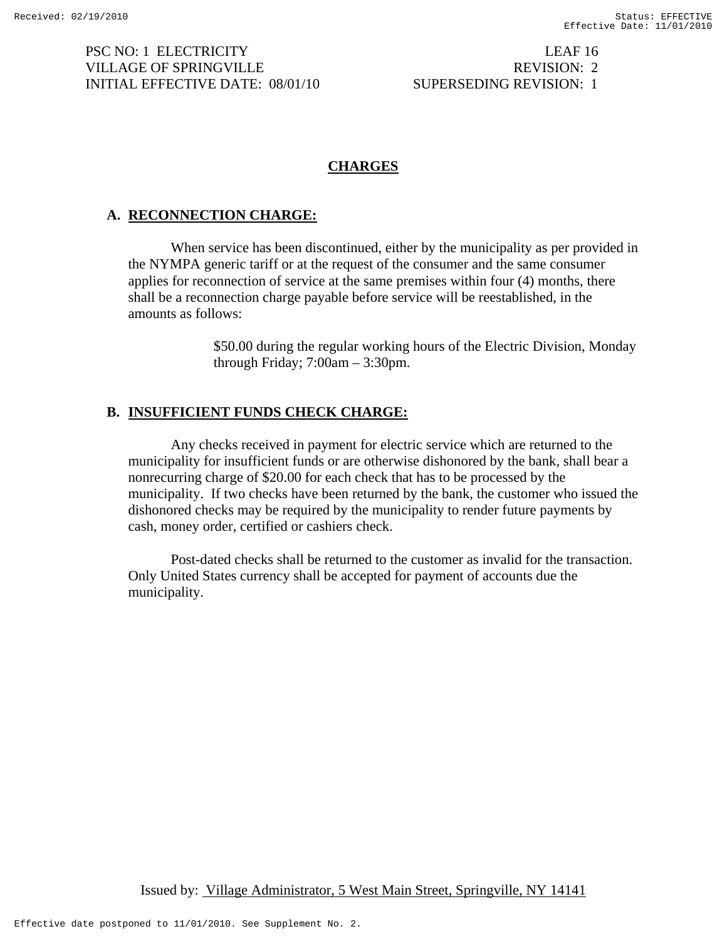PSC NO: 1 ELECTRICITY LEAF 16 VILLAGE OF SPRINGVILLE THE REVISION: 2 INITIAL EFFECTIVE DATE: 08/01/10 SUPERSEDING REVISION: 1

# **CHARGES**

# **A. RECONNECTION CHARGE:**

When service has been discontinued, either by the municipality as per provided in the NYMPA generic tariff or at the request of the consumer and the same consumer applies for reconnection of service at the same premises within four (4) months, there shall be a reconnection charge payable before service will be reestablished, in the amounts as follows:

> \$50.00 during the regular working hours of the Electric Division, Monday through Friday; 7:00am – 3:30pm.

## **B. INSUFFICIENT FUNDS CHECK CHARGE:**

Any checks received in payment for electric service which are returned to the municipality for insufficient funds or are otherwise dishonored by the bank, shall bear a nonrecurring charge of \$20.00 for each check that has to be processed by the municipality. If two checks have been returned by the bank, the customer who issued the dishonored checks may be required by the municipality to render future payments by cash, money order, certified or cashiers check.

Post-dated checks shall be returned to the customer as invalid for the transaction. Only United States currency shall be accepted for payment of accounts due the municipality.